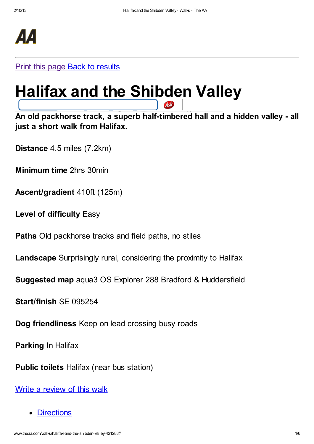

#### **Print this page Back to results**

# Halifax and the Shibden Valley

An old packhorse track, a superb half-timbered hall and a hidden valley - all just a short walk from Halifax.

Distance 4.5 miles (7.2km)

Minimum time 2hrs 30min

Ascent/gradient 410ft (125m)

Level of difficulty Easy

Paths Old packhorse tracks and field paths, no stiles

Landscape Surprisingly rural, considering the proximity to Halifax

Suggested map aqua3 OS Explorer 288 Bradford & Huddersfield

Start/finish SE 095254

Dog friendliness Keep on lead crossing busy roads

Parking In Halifax

Public toilets Halifax (near bus station)

Write a review of this walk

**Directions**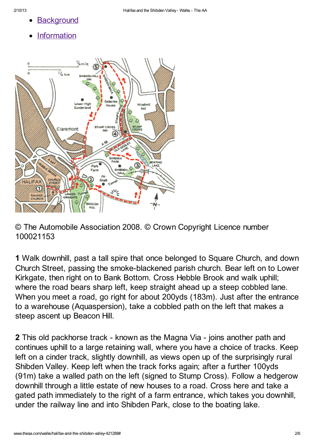- [Background](http://www.theaa.com/walks/halifax-and-the-shibden-valley-421288#background)
- [Information](http://www.theaa.com/walks/halifax-and-the-shibden-valley-421288#information)



© The Automobile Association 2008. © Crown Copyright Licence number 100021153

1 Walk downhill, past a tall spire that once belonged to Square Church, and down Church Street, passing the smoke-blackened parish church. Bear left on to Lower Kirkgate, then right on to Bank Bottom. Cross Hebble Brook and walk uphill; where the road bears sharp left, keep straight ahead up a steep cobbled lane. When you meet a road, go right for about 200yds (183m). Just after the entrance to a warehouse (Aquaspersion), take a cobbled path on the left that makes a steep ascent up Beacon Hill.

2 This old packhorse track - known as the Magna Via - joins another path and continues uphill to a large retaining wall, where you have a choice of tracks. Keep left on a cinder track, slightly downhill, as views open up of the surprisingly rural Shibden Valley. Keep left when the track forks again; after a further 100yds (91m) take a walled path on the left (signed to Stump Cross). Follow a hedgerow downhill through a little estate of new houses to a road. Cross here and take a gated path immediately to the right of a farm entrance, which takes you downhill, under the railway line and into Shibden Park, close to the boating lake.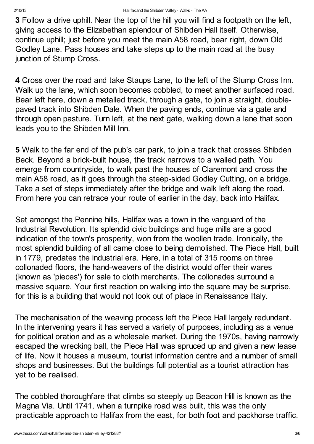3 Follow a drive uphill. Near the top of the hill you will find a footpath on the left, giving access to the Elizabethan splendour of Shibden Hall itself. Otherwise, continue uphill; just before you meet the main A58 road, bear right, down Old Godley Lane. Pass houses and take steps up to the main road at the busy junction of Stump Cross.

4 Cross over the road and take Staups Lane, to the left of the Stump Cross Inn. Walk up the lane, which soon becomes cobbled, to meet another surfaced road. Bear left here, down a metalled track, through a gate, to join a straight, doublepaved track into Shibden Dale. When the paving ends, continue via a gate and through open pasture. Turn left, at the next gate, walking down a lane that soon leads you to the Shibden Mill Inn.

5 Walk to the far end of the pub's car park, to join a track that crosses Shibden Beck. Beyond a brick-built house, the track narrows to a walled path. You emerge from countryside, to walk past the houses of Claremont and cross the main A58 road, as it goes through the steep-sided Godley Cutting, on a bridge. Take a set of steps immediately after the bridge and walk left along the road. From here you can retrace your route of earlier in the day, back into Halifax.

Set amongst the Pennine hills, Halifax was a town in the vanguard of the Industrial Revolution. Its splendid civic buildings and huge mills are a good indication of the town's prosperity, won from the woollen trade. Ironically, the most splendid building of all came close to being demolished. The Piece Hall, built in 1779, predates the industrial era. Here, in a total of 315 rooms on three collonaded floors, the hand-weavers of the district would offer their wares (known as 'pieces') for sale to cloth merchants. The collonades surround a massive square. Your first reaction on walking into the square may be surprise, for this is a building that would not look out of place in Renaissance Italy.

The mechanisation of the weaving process left the Piece Hall largely redundant. In the intervening years it has served a variety of purposes, including as a venue for political oration and as a wholesale market. During the 1970s, having narrowly escaped the wrecking ball, the Piece Hall was spruced up and given a new lease of life. Now it houses a museum, tourist information centre and a number of small shops and businesses. But the buildings full potential as a tourist attraction has yet to be realised.

The cobbled thoroughfare that climbs so steeply up Beacon Hill is known as the Magna Via. Until 1741, when a turnpike road was built, this was the only practicable approach to Halifax from the east, for both foot and packhorse traffic.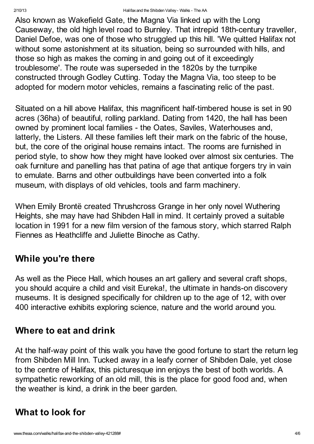Also known as Wakefield Gate, the Magna Via linked up with the Long Causeway, the old high level road to Burnley. That intrepid 18th-century traveller, Daniel Defoe, was one of those who struggled up this hill. 'We quitted Halifax not without some astonishment at its situation, being so surrounded with hills, and those so high as makes the coming in and going out of it exceedingly troublesome'. The route was superseded in the 1820s by the turnpike constructed through Godley Cutting. Today the Magna Via, too steep to be adopted for modern motor vehicles, remains a fascinating relic of the past.

Situated on a hill above Halifax, this magnificent half-timbered house is set in 90 acres (36ha) of beautiful, rolling parkland. Dating from 1420, the hall has been owned by prominent local families - the Oates, Saviles, Waterhouses and, latterly, the Listers. All these families left their mark on the fabric of the house, but, the core of the original house remains intact. The rooms are furnished in period style, to show how they might have looked over almost six centuries. The oak furniture and panelling has that patina of age that antique forgers try in vain to emulate. Barns and other outbuildings have been converted into a folk museum, with displays of old vehicles, tools and farm machinery.

When Emily Brontë created Thrushcross Grange in her only novel Wuthering Heights, she may have had Shibden Hall in mind. It certainly proved a suitable location in 1991 for a new film version of the famous story, which starred Ralph Fiennes as Heathcliffe and Juliette Binoche as Cathy.

#### While you're there

As well as the Piece Hall, which houses an art gallery and several craft shops, you should acquire a child and visit Eureka!, the ultimate in hands-on discovery museums. It is designed specifically for children up to the age of 12, with over 400 interactive exhibits exploring science, nature and the world around you.

#### Where to eat and drink

At the half-way point of this walk you have the good fortune to start the return leg from Shibden Mill Inn. Tucked away in a leafy corner of Shibden Dale, yet close to the centre of Halifax, this picturesque inn enjoys the best of both worlds. A sympathetic reworking of an old mill, this is the place for good food and, when the weather is kind, a drink in the beer garden.

### What to look for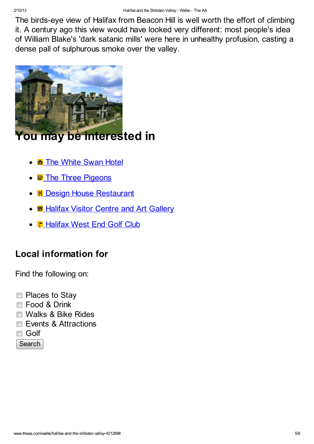The birds-eye view of Halifax from Beacon Hill is well worth the effort of climbing it. A century ago this view would have looked very different: most people's idea of William Blake's 'dark satanic mills' were here in unhealthy profusion, casting a dense pall of sulphurous smoke over the valley.



## You may be interested in

- **for** The [White](http://www.theaa.com/hotels/halifax-the-white-swan-hotel-1171171) Swan Hotel
- $\bullet$   $\blacksquare$  The Three [Pigeons](http://www.theaa.com/pubs/halifax-the-three-pigeons-2443061)
- **W** Design House [Restaurant](http://www.theaa.com/restaurants/halifax-design-house-restaurant-3257383)
- **W** Halifax Visitor Centre and Art [Gallery](http://www.theaa.com/days-out/west-yorkshire-halifax-visitor-centre-and-art-gallery-368042)
- **F [Halifax](http://www.theaa.com/golf/west-yorkshire-halifax-west-end-golf-club-369221) West End Golf Club**

#### Local information for

Find the following on:

- Places to Stay
- Food & Drink
- Walks & Bike Rides
- Events & Attractions
- **□ Golf**
- **Search**